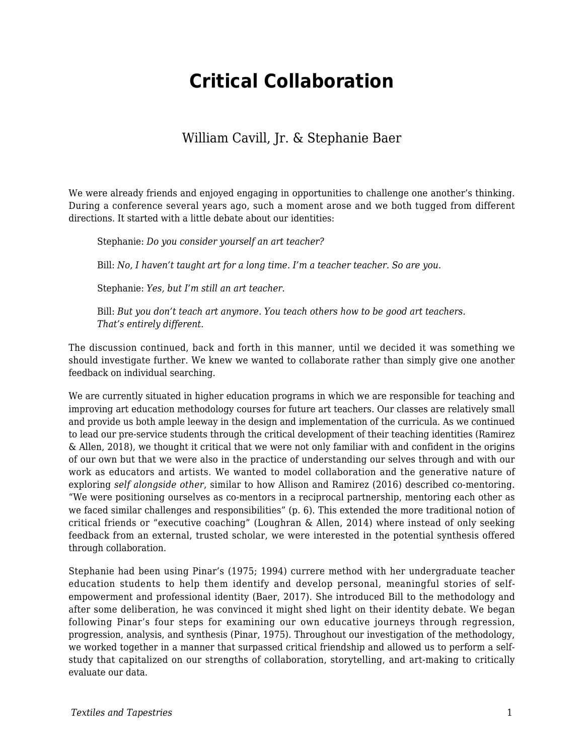# **Critical Collaboration**

### William Cavill, Jr. & Stephanie Baer

We were already friends and enjoyed engaging in opportunities to challenge one another's thinking. During a conference several years ago, such a moment arose and we both tugged from different directions. It started with a little debate about our identities:

Stephanie: *Do you consider yourself an art teacher?*

Bill: *No, I haven't taught art for a long time. I'm a teacher teacher. So are you.*

Stephanie: *Yes, but I'm still an art teacher.*

Bill: *But you don't teach art anymore. You teach others how to be good art teachers. That's entirely different.*

The discussion continued, back and forth in this manner, until we decided it was something we should investigate further. We knew we wanted to collaborate rather than simply give one another feedback on individual searching.

We are currently situated in higher education programs in which we are responsible for teaching and improving art education methodology courses for future art teachers. Our classes are relatively small and provide us both ample leeway in the design and implementation of the curricula. As we continued to lead our pre-service students through the critical development of their teaching identities (Ramirez & Allen, 2018), we thought it critical that we were not only familiar with and confident in the origins of our own but that we were also in the practice of understanding our selves through and with our work as educators and artists. We wanted to model collaboration and the generative nature of exploring *self alongside other*, similar to how Allison and Ramirez (2016) described co-mentoring. "We were positioning ourselves as co-mentors in a reciprocal partnership, mentoring each other as we faced similar challenges and responsibilities" (p. 6). This extended the more traditional notion of critical friends or "executive coaching" (Loughran & Allen, 2014) where instead of only seeking feedback from an external, trusted scholar, we were interested in the potential synthesis offered through collaboration.

Stephanie had been using Pinar's (1975; 1994) currere method with her undergraduate teacher education students to help them identify and develop personal, meaningful stories of selfempowerment and professional identity (Baer, 2017). She introduced Bill to the methodology and after some deliberation, he was convinced it might shed light on their identity debate. We began following Pinar's four steps for examining our own educative journeys through regression, progression, analysis, and synthesis (Pinar, 1975). Throughout our investigation of the methodology, we worked together in a manner that surpassed critical friendship and allowed us to perform a selfstudy that capitalized on our strengths of collaboration, storytelling, and art-making to critically evaluate our data.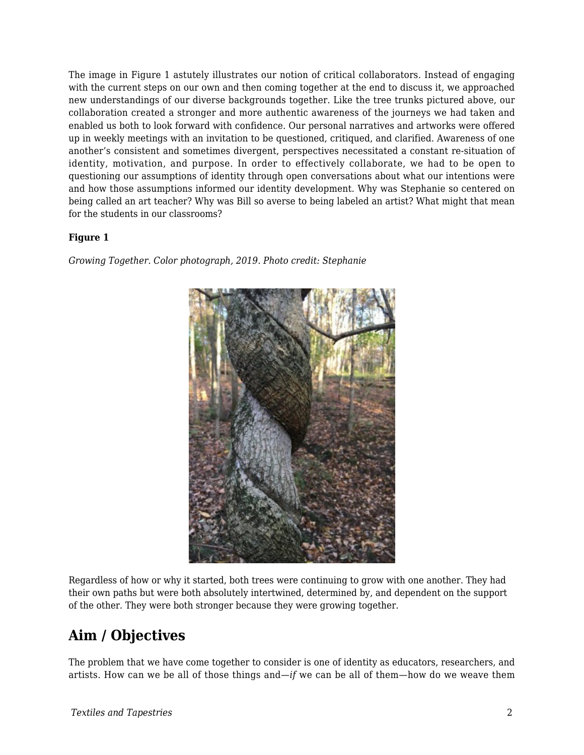The image in Figure 1 astutely illustrates our notion of critical collaborators. Instead of engaging with the current steps on our own and then coming together at the end to discuss it, we approached new understandings of our diverse backgrounds together. Like the tree trunks pictured above, our collaboration created a stronger and more authentic awareness of the journeys we had taken and enabled us both to look forward with confidence. Our personal narratives and artworks were offered up in weekly meetings with an invitation to be questioned, critiqued, and clarified. Awareness of one another's consistent and sometimes divergent, perspectives necessitated a constant re-situation of identity, motivation, and purpose. In order to effectively collaborate, we had to be open to questioning our assumptions of identity through open conversations about what our intentions were and how those assumptions informed our identity development. Why was Stephanie so centered on being called an art teacher? Why was Bill so averse to being labeled an artist? What might that mean for the students in our classrooms?

#### **Figure 1**

*Growing Together. Color photograph, 2019. Photo credit: Stephanie*



Regardless of how or why it started, both trees were continuing to grow with one another. They had their own paths but were both absolutely intertwined, determined by, and dependent on the support of the other. They were both stronger because they were growing together.

# **Aim / Objectives**

The problem that we have come together to consider is one of identity as educators, researchers, and artists. How can we be all of those things and—*if* we can be all of them—how do we weave them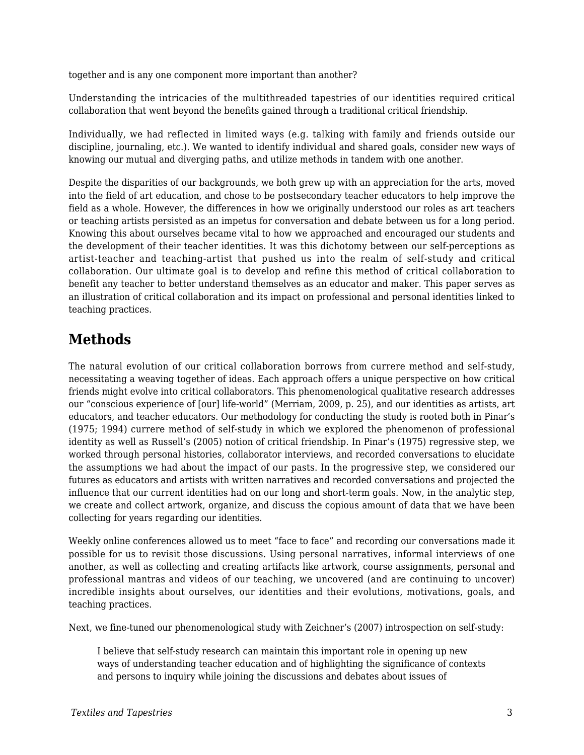together and is any one component more important than another?

Understanding the intricacies of the multithreaded tapestries of our identities required critical collaboration that went beyond the benefits gained through a traditional critical friendship.

Individually, we had reflected in limited ways (e.g. talking with family and friends outside our discipline, journaling, etc.). We wanted to identify individual and shared goals, consider new ways of knowing our mutual and diverging paths, and utilize methods in tandem with one another.

Despite the disparities of our backgrounds, we both grew up with an appreciation for the arts, moved into the field of art education, and chose to be postsecondary teacher educators to help improve the field as a whole. However, the differences in how we originally understood our roles as art teachers or teaching artists persisted as an impetus for conversation and debate between us for a long period. Knowing this about ourselves became vital to how we approached and encouraged our students and the development of their teacher identities. It was this dichotomy between our self-perceptions as artist-teacher and teaching-artist that pushed us into the realm of self-study and critical collaboration. Our ultimate goal is to develop and refine this method of critical collaboration to benefit any teacher to better understand themselves as an educator and maker. This paper serves as an illustration of critical collaboration and its impact on professional and personal identities linked to teaching practices.

# **Methods**

The natural evolution of our critical collaboration borrows from currere method and self-study, necessitating a weaving together of ideas. Each approach offers a unique perspective on how critical friends might evolve into critical collaborators. This phenomenological qualitative research addresses our "conscious experience of [our] life-world" (Merriam, 2009, p. 25), and our identities as artists, art educators, and teacher educators. Our methodology for conducting the study is rooted both in Pinar's (1975; 1994) currere method of self-study in which we explored the phenomenon of professional identity as well as Russell's (2005) notion of critical friendship. In Pinar's (1975) regressive step, we worked through personal histories, collaborator interviews, and recorded conversations to elucidate the assumptions we had about the impact of our pasts. In the progressive step, we considered our futures as educators and artists with written narratives and recorded conversations and projected the influence that our current identities had on our long and short-term goals. Now, in the analytic step, we create and collect artwork, organize, and discuss the copious amount of data that we have been collecting for years regarding our identities.

Weekly online conferences allowed us to meet "face to face" and recording our conversations made it possible for us to revisit those discussions. Using personal narratives, informal interviews of one another, as well as collecting and creating artifacts like artwork, course assignments, personal and professional mantras and videos of our teaching, we uncovered (and are continuing to uncover) incredible insights about ourselves, our identities and their evolutions, motivations, goals, and teaching practices.

Next, we fine-tuned our phenomenological study with Zeichner's (2007) introspection on self-study:

I believe that self-study research can maintain this important role in opening up new ways of understanding teacher education and of highlighting the significance of contexts and persons to inquiry while joining the discussions and debates about issues of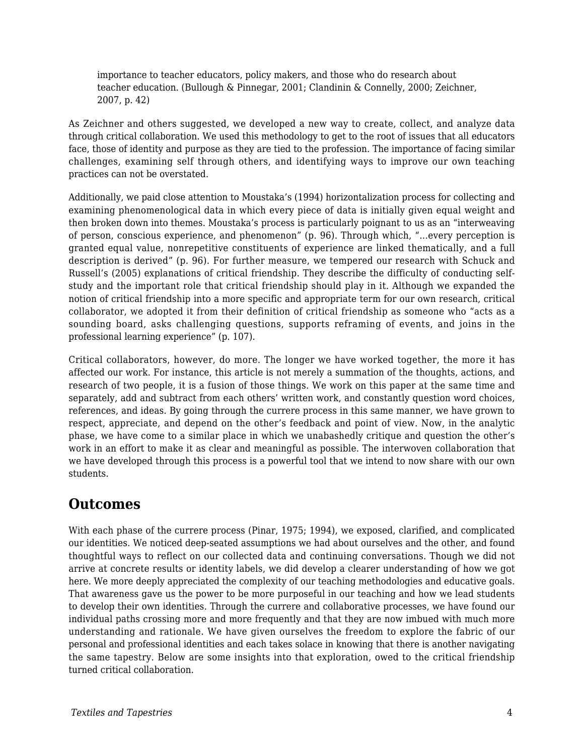importance to teacher educators, policy makers, and those who do research about teacher education. (Bullough & Pinnegar, 2001; Clandinin & Connelly, 2000; Zeichner, 2007, p. 42)

As Zeichner and others suggested, we developed a new way to create, collect, and analyze data through critical collaboration. We used this methodology to get to the root of issues that all educators face, those of identity and purpose as they are tied to the profession. The importance of facing similar challenges, examining self through others, and identifying ways to improve our own teaching practices can not be overstated.

Additionally, we paid close attention to Moustaka's (1994) horizontalization process for collecting and examining phenomenological data in which every piece of data is initially given equal weight and then broken down into themes. Moustaka's process is particularly poignant to us as an "interweaving of person, conscious experience, and phenomenon" (p. 96). Through which, "...every perception is granted equal value, nonrepetitive constituents of experience are linked thematically, and a full description is derived" (p. 96). For further measure, we tempered our research with Schuck and Russell's (2005) explanations of critical friendship. They describe the difficulty of conducting selfstudy and the important role that critical friendship should play in it. Although we expanded the notion of critical friendship into a more specific and appropriate term for our own research, critical collaborator, we adopted it from their definition of critical friendship as someone who "acts as a sounding board, asks challenging questions, supports reframing of events, and joins in the professional learning experience" (p. 107).

Critical collaborators, however, do more. The longer we have worked together, the more it has affected our work. For instance, this article is not merely a summation of the thoughts, actions, and research of two people, it is a fusion of those things. We work on this paper at the same time and separately, add and subtract from each others' written work, and constantly question word choices, references, and ideas. By going through the currere process in this same manner, we have grown to respect, appreciate, and depend on the other's feedback and point of view. Now, in the analytic phase, we have come to a similar place in which we unabashedly critique and question the other's work in an effort to make it as clear and meaningful as possible. The interwoven collaboration that we have developed through this process is a powerful tool that we intend to now share with our own students.

### **Outcomes**

With each phase of the currere process (Pinar, 1975; 1994), we exposed, clarified, and complicated our identities. We noticed deep-seated assumptions we had about ourselves and the other, and found thoughtful ways to reflect on our collected data and continuing conversations. Though we did not arrive at concrete results or identity labels, we did develop a clearer understanding of how we got here. We more deeply appreciated the complexity of our teaching methodologies and educative goals. That awareness gave us the power to be more purposeful in our teaching and how we lead students to develop their own identities. Through the currere and collaborative processes, we have found our individual paths crossing more and more frequently and that they are now imbued with much more understanding and rationale. We have given ourselves the freedom to explore the fabric of our personal and professional identities and each takes solace in knowing that there is another navigating the same tapestry. Below are some insights into that exploration, owed to the critical friendship turned critical collaboration.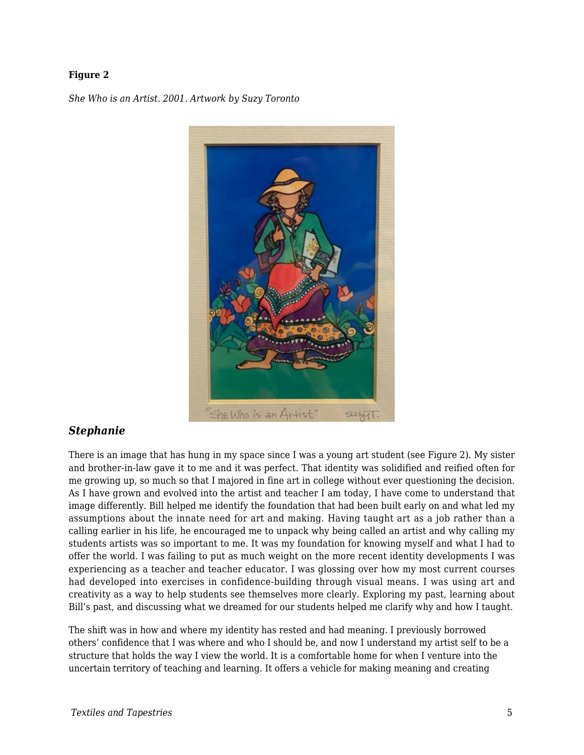#### **Figure 2**

*She Who is an Artist. 2001. Artwork by Suzy Toronto*



#### *Stephanie*

There is an image that has hung in my space since I was a young art student (see Figure 2). My sister and brother-in-law gave it to me and it was perfect. That identity was solidified and reified often for me growing up, so much so that I majored in fine art in college without ever questioning the decision. As I have grown and evolved into the artist and teacher I am today, I have come to understand that image differently. Bill helped me identify the foundation that had been built early on and what led my assumptions about the innate need for art and making. Having taught art as a job rather than a calling earlier in his life, he encouraged me to unpack why being called an artist and why calling my students artists was so important to me. It was my foundation for knowing myself and what I had to offer the world. I was failing to put as much weight on the more recent identity developments I was experiencing as a teacher and teacher educator. I was glossing over how my most current courses had developed into exercises in confidence-building through visual means. I was using art and creativity as a way to help students see themselves more clearly. Exploring my past, learning about Bill's past, and discussing what we dreamed for our students helped me clarify why and how I taught.

The shift was in how and where my identity has rested and had meaning. I previously borrowed others' confidence that I was where and who I should be, and now I understand my artist self to be a structure that holds the way I view the world. It is a comfortable home for when I venture into the uncertain territory of teaching and learning. It offers a vehicle for making meaning and creating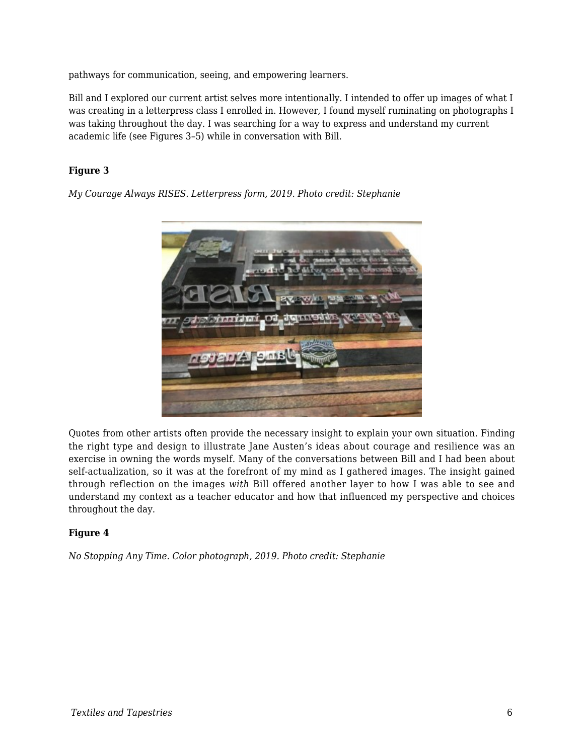pathways for communication, seeing, and empowering learners.

Bill and I explored our current artist selves more intentionally. I intended to offer up images of what I was creating in a letterpress class I enrolled in. However, I found myself ruminating on photographs I was taking throughout the day. I was searching for a way to express and understand my current academic life (see Figures 3–5) while in conversation with Bill.

#### **Figure 3**

*My Courage Always RISES. Letterpress form, 2019. Photo credit: Stephanie*



Quotes from other artists often provide the necessary insight to explain your own situation. Finding the right type and design to illustrate Jane Austen's ideas about courage and resilience was an exercise in owning the words myself. Many of the conversations between Bill and I had been about self-actualization, so it was at the forefront of my mind as I gathered images. The insight gained through reflection on the images *with* Bill offered another layer to how I was able to see and understand my context as a teacher educator and how that influenced my perspective and choices throughout the day.

#### **Figure 4**

*No Stopping Any Time. Color photograph, 2019. Photo credit: Stephanie*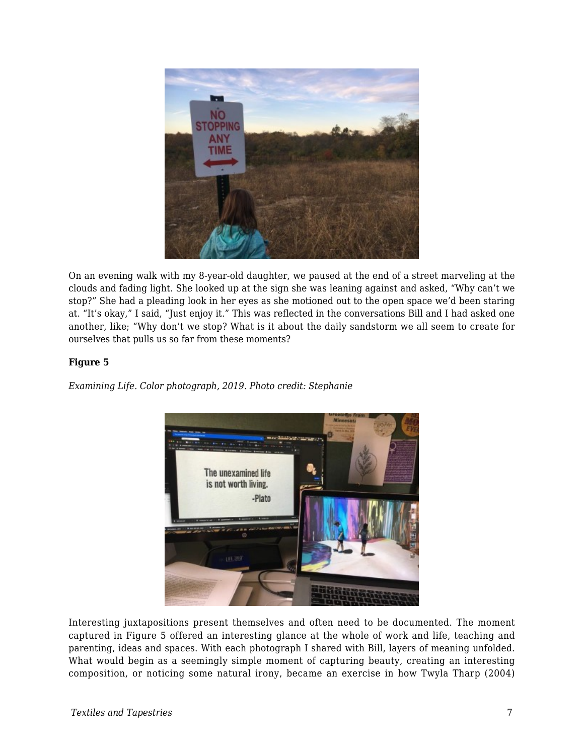

On an evening walk with my 8-year-old daughter, we paused at the end of a street marveling at the clouds and fading light. She looked up at the sign she was leaning against and asked, "Why can't we stop?" She had a pleading look in her eyes as she motioned out to the open space we'd been staring at. "It's okay," I said, "Just enjoy it." This was reflected in the conversations Bill and I had asked one another, like; "Why don't we stop? What is it about the daily sandstorm we all seem to create for ourselves that pulls us so far from these moments?

#### **Figure 5**

*Examining Life. Color photograph, 2019. Photo credit: Stephanie*



Interesting juxtapositions present themselves and often need to be documented. The moment captured in Figure 5 offered an interesting glance at the whole of work and life, teaching and parenting, ideas and spaces. With each photograph I shared with Bill, layers of meaning unfolded. What would begin as a seemingly simple moment of capturing beauty, creating an interesting composition, or noticing some natural irony, became an exercise in how Twyla Tharp (2004)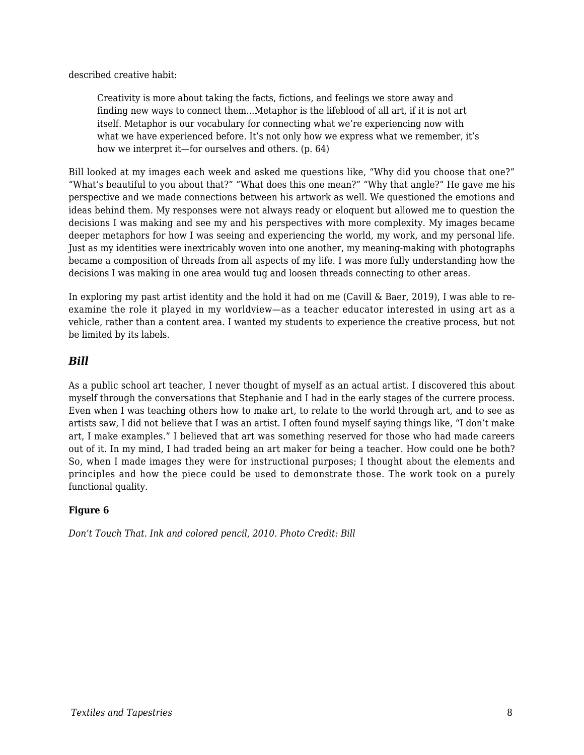described creative habit:

Creativity is more about taking the facts, fictions, and feelings we store away and finding new ways to connect them...Metaphor is the lifeblood of all art, if it is not art itself. Metaphor is our vocabulary for connecting what we're experiencing now with what we have experienced before. It's not only how we express what we remember, it's how we interpret it—for ourselves and others. (p. 64)

Bill looked at my images each week and asked me questions like, "Why did you choose that one?" "What's beautiful to you about that?" "What does this one mean?" "Why that angle?" He gave me his perspective and we made connections between his artwork as well. We questioned the emotions and ideas behind them. My responses were not always ready or eloquent but allowed me to question the decisions I was making and see my and his perspectives with more complexity. My images became deeper metaphors for how I was seeing and experiencing the world, my work, and my personal life. Just as my identities were inextricably woven into one another, my meaning-making with photographs became a composition of threads from all aspects of my life. I was more fully understanding how the decisions I was making in one area would tug and loosen threads connecting to other areas.

In exploring my past artist identity and the hold it had on me (Cavill & Baer, 2019), I was able to reexamine the role it played in my worldview—as a teacher educator interested in using art as a vehicle, rather than a content area. I wanted my students to experience the creative process, but not be limited by its labels.

#### *Bill*

As a public school art teacher, I never thought of myself as an actual artist. I discovered this about myself through the conversations that Stephanie and I had in the early stages of the currere process. Even when I was teaching others how to make art, to relate to the world through art, and to see as artists saw, I did not believe that I was an artist. I often found myself saying things like, "I don't make art, I make examples." I believed that art was something reserved for those who had made careers out of it. In my mind, I had traded being an art maker for being a teacher. How could one be both? So, when I made images they were for instructional purposes; I thought about the elements and principles and how the piece could be used to demonstrate those. The work took on a purely functional quality.

#### **Figure 6**

*Don't Touch That. Ink and colored pencil, 2010. Photo Credit: Bill*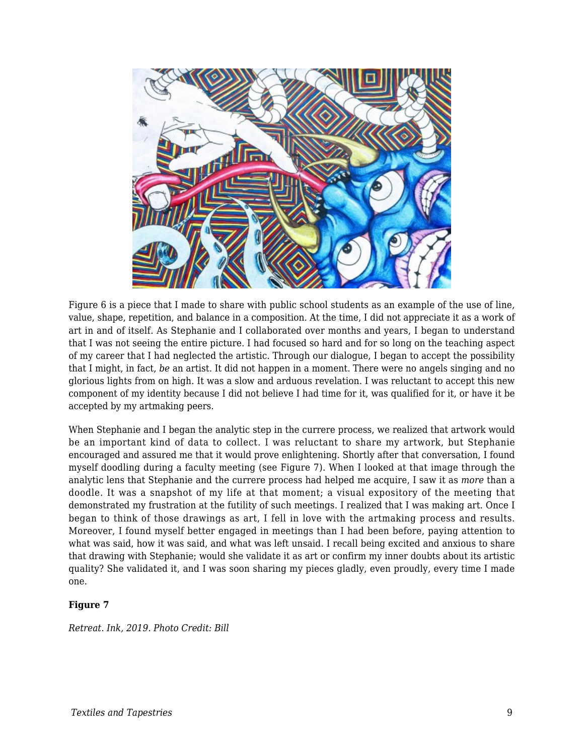

Figure 6 is a piece that I made to share with public school students as an example of the use of line, value, shape, repetition, and balance in a composition. At the time, I did not appreciate it as a work of art in and of itself. As Stephanie and I collaborated over months and years, I began to understand that I was not seeing the entire picture. I had focused so hard and for so long on the teaching aspect of my career that I had neglected the artistic. Through our dialogue, I began to accept the possibility that I might, in fact, *be* an artist. It did not happen in a moment. There were no angels singing and no glorious lights from on high. It was a slow and arduous revelation. I was reluctant to accept this new component of my identity because I did not believe I had time for it, was qualified for it, or have it be accepted by my artmaking peers.

When Stephanie and I began the analytic step in the currere process, we realized that artwork would be an important kind of data to collect. I was reluctant to share my artwork, but Stephanie encouraged and assured me that it would prove enlightening. Shortly after that conversation, I found myself doodling during a faculty meeting (see Figure 7). When I looked at that image through the analytic lens that Stephanie and the currere process had helped me acquire, I saw it as *more* than a doodle. It was a snapshot of my life at that moment; a visual expository of the meeting that demonstrated my frustration at the futility of such meetings. I realized that I was making art. Once I began to think of those drawings as art, I fell in love with the artmaking process and results. Moreover, I found myself better engaged in meetings than I had been before, paying attention to what was said, how it was said, and what was left unsaid. I recall being excited and anxious to share that drawing with Stephanie; would she validate it as art or confirm my inner doubts about its artistic quality? She validated it, and I was soon sharing my pieces gladly, even proudly, every time I made one.

#### **Figure 7**

*Retreat. Ink, 2019. Photo Credit: Bill*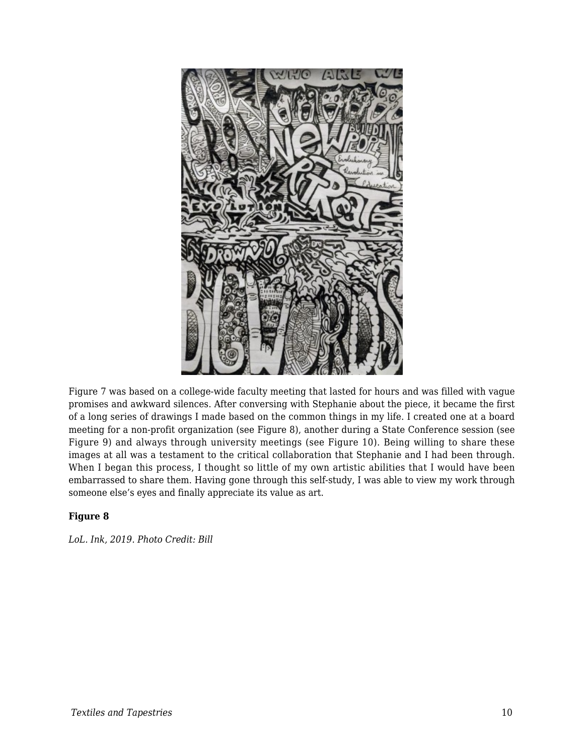

Figure 7 was based on a college-wide faculty meeting that lasted for hours and was filled with vague promises and awkward silences. After conversing with Stephanie about the piece, it became the first of a long series of drawings I made based on the common things in my life. I created one at a board meeting for a non-profit organization (see Figure 8), another during a State Conference session (see Figure 9) and always through university meetings (see Figure 10). Being willing to share these images at all was a testament to the critical collaboration that Stephanie and I had been through. When I began this process, I thought so little of my own artistic abilities that I would have been embarrassed to share them. Having gone through this self-study, I was able to view my work through someone else's eyes and finally appreciate its value as art.

#### **Figure 8**

*LoL. Ink, 2019. Photo Credit: Bill*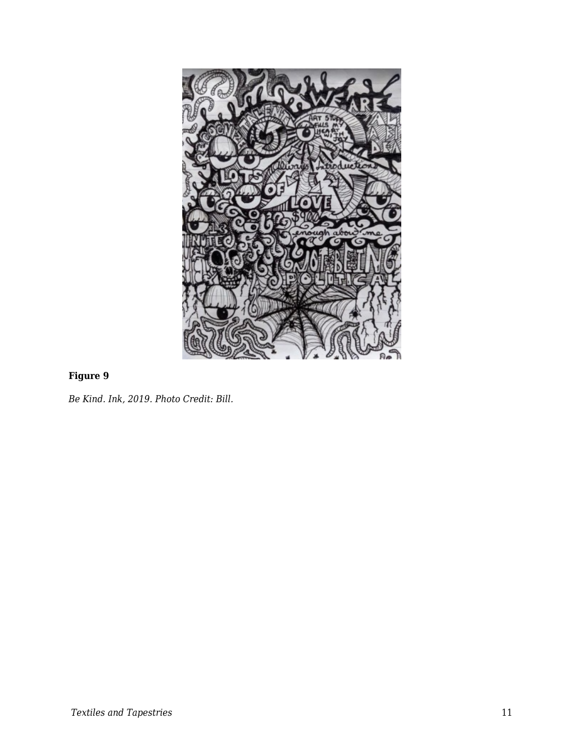

#### **Figure 9**

*Be Kind. Ink, 2019. Photo Credit: Bill.*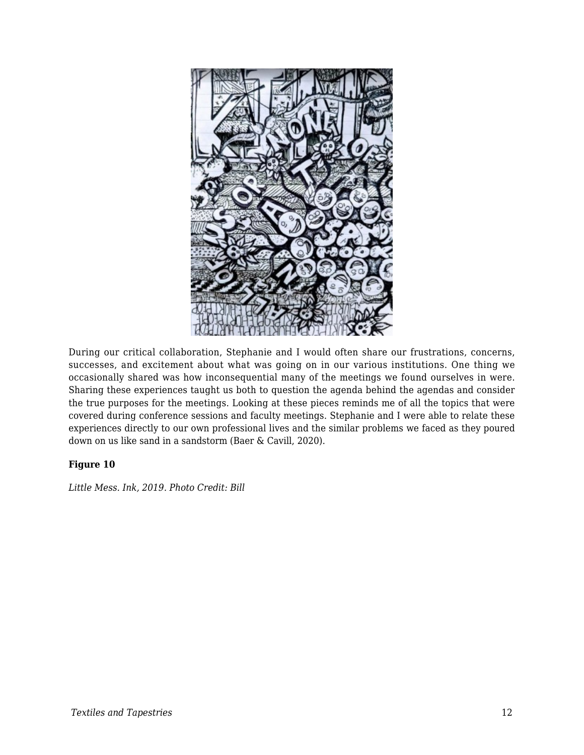

During our critical collaboration, Stephanie and I would often share our frustrations, concerns, successes, and excitement about what was going on in our various institutions. One thing we occasionally shared was how inconsequential many of the meetings we found ourselves in were. Sharing these experiences taught us both to question the agenda behind the agendas and consider the true purposes for the meetings. Looking at these pieces reminds me of all the topics that were covered during conference sessions and faculty meetings. Stephanie and I were able to relate these experiences directly to our own professional lives and the similar problems we faced as they poured down on us like sand in a sandstorm (Baer & Cavill, 2020).

#### **Figure 10**

*Little Mess. Ink, 2019. Photo Credit: Bill*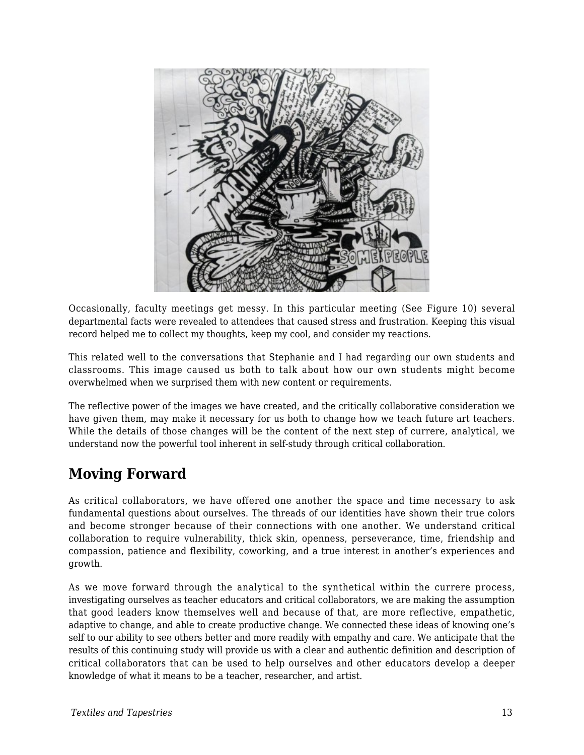

Occasionally, faculty meetings get messy. In this particular meeting (See Figure 10) several departmental facts were revealed to attendees that caused stress and frustration. Keeping this visual record helped me to collect my thoughts, keep my cool, and consider my reactions.

This related well to the conversations that Stephanie and I had regarding our own students and classrooms. This image caused us both to talk about how our own students might become overwhelmed when we surprised them with new content or requirements.

The reflective power of the images we have created, and the critically collaborative consideration we have given them, may make it necessary for us both to change how we teach future art teachers. While the details of those changes will be the content of the next step of currere, analytical, we understand now the powerful tool inherent in self-study through critical collaboration.

## **Moving Forward**

As critical collaborators, we have offered one another the space and time necessary to ask fundamental questions about ourselves. The threads of our identities have shown their true colors and become stronger because of their connections with one another. We understand critical collaboration to require vulnerability, thick skin, openness, perseverance, time, friendship and compassion, patience and flexibility, coworking, and a true interest in another's experiences and growth.

As we move forward through the analytical to the synthetical within the currere process, investigating ourselves as teacher educators and critical collaborators, we are making the assumption that good leaders know themselves well and because of that, are more reflective, empathetic, adaptive to change, and able to create productive change. We connected these ideas of knowing one's self to our ability to see others better and more readily with empathy and care. We anticipate that the results of this continuing study will provide us with a clear and authentic definition and description of critical collaborators that can be used to help ourselves and other educators develop a deeper knowledge of what it means to be a teacher, researcher, and artist.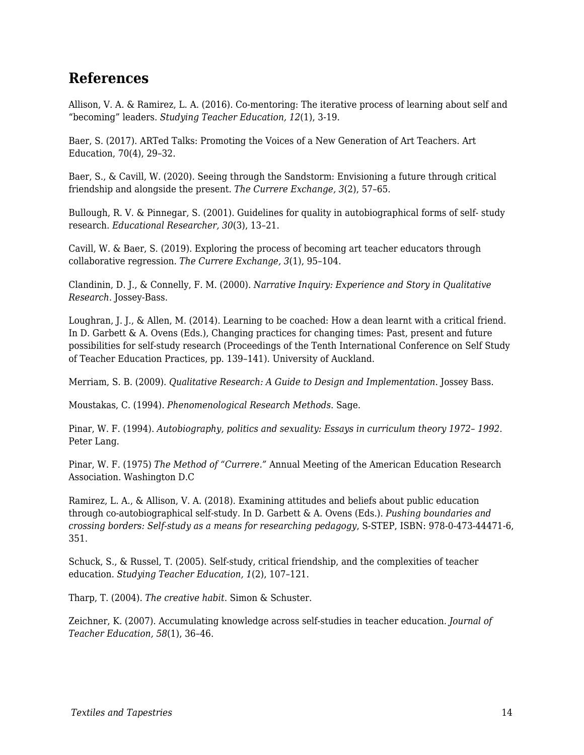### **References**

Allison, V. A. & Ramirez, L. A. (2016). Co-mentoring: The iterative process of learning about self and "becoming" leaders. *Studying Teacher Education, 12*(1), 3-19.

Baer, S. (2017). ARTed Talks: Promoting the Voices of a New Generation of Art Teachers. Art Education, 70(4), 29–32.

Baer, S., & Cavill, W. (2020). Seeing through the Sandstorm: Envisioning a future through critical friendship and alongside the present. *The Currere Exchange, 3*(2), 57–65*.*

Bullough, R. V. & Pinnegar, S. (2001). Guidelines for quality in autobiographical forms of self- study research. *Educational Researcher, 30*(3), 13–21.

Cavill, W. & Baer, S. (2019). Exploring the process of becoming art teacher educators through collaborative regression. *The Currere Exchange, 3*(1), 95–104.

Clandinin, D. J., & Connelly, F. M. (2000). *Narrative Inquiry: Experience and Story in Qualitative Research*. Jossey-Bass.

Loughran, J. J., & Allen, M. (2014). Learning to be coached: How a dean learnt with a critical friend. In D. Garbett & A. Ovens (Eds.), Changing practices for changing times: Past, present and future possibilities for self-study research (Proceedings of the Tenth International Conference on Self Study of Teacher Education Practices, pp. 139–141). University of Auckland.

Merriam, S. B. (2009). *Qualitative Research: A Guide to Design and Implementation*. Jossey Bass.

Moustakas, C. (1994). *Phenomenological Research Methods*. Sage.

Pinar, W. F. (1994). *Autobiography, politics and sexuality: Essays in curriculum theory 1972– 1992*. Peter Lang.

Pinar, W. F. (1975) *The Method of "Currere."* Annual Meeting of the American Education Research Association. Washington D.C

Ramirez, L. A., & Allison, V. A. (2018). Examining attitudes and beliefs about public education through co-autobiographical self-study. In D. Garbett & A. Ovens (Eds.). *Pushing boundaries and crossing borders: Self-study as a means for researching pedagogy*, S-STEP, ISBN: 978-0-473-44471-6, 351.

Schuck, S., & Russel, T. (2005). Self-study, critical friendship, and the complexities of teacher education. *Studying Teacher Education, 1*(2), 107–121.

Tharp, T. (2004). *The creative habit*. Simon & Schuster.

Zeichner, K. (2007). Accumulating knowledge across self-studies in teacher education. *Journal of Teacher Education, 58*(1), 36–46.